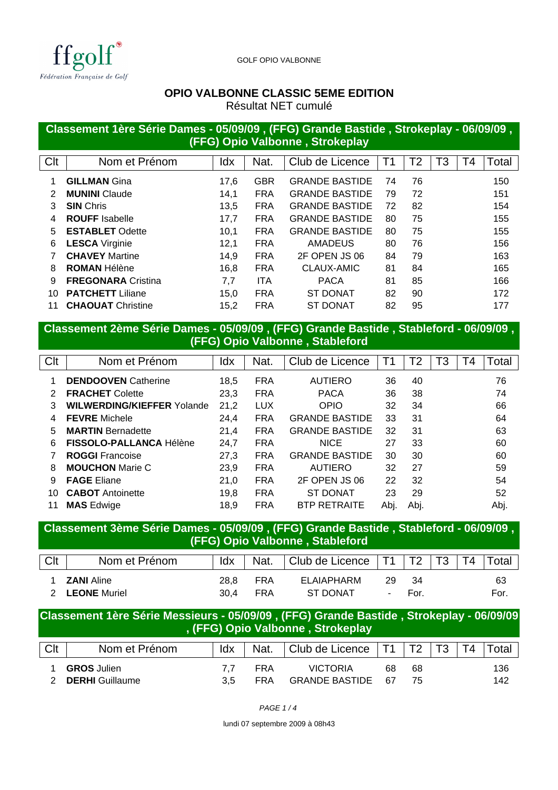

GOLF OPIO VALBONNE

#### **OPIO VALBONNE CLASSIC 5EME EDITION**

Résultat NET cumulé

### **Classement 1ère Série Dames - 05/09/09 , (FFG) Grande Bastide , Strokeplay - 06/09/09 , (FFG) Opio Valbonne , Strokeplay**

| Clt | Nom et Prénom             | Idx  | Nat.       | Club de Licence       | Τ1 | Τ2 | -3 | Г4 | Total |
|-----|---------------------------|------|------------|-----------------------|----|----|----|----|-------|
|     | <b>GILLMAN</b> Gina       | 17,6 | <b>GBR</b> | <b>GRANDE BASTIDE</b> | 74 | 76 |    |    | 150   |
| 2   | <b>MUNINI</b> Claude      | 14,1 | <b>FRA</b> | <b>GRANDE BASTIDE</b> | 79 | 72 |    |    | 151   |
| 3   | <b>SIN</b> Chris          | 13,5 | <b>FRA</b> | <b>GRANDE BASTIDE</b> | 72 | 82 |    |    | 154   |
| 4   | <b>ROUFF</b> Isabelle     | 17,7 | <b>FRA</b> | <b>GRANDE BASTIDE</b> | 80 | 75 |    |    | 155   |
| 5   | <b>ESTABLET Odette</b>    | 10,1 | <b>FRA</b> | <b>GRANDE BASTIDE</b> | 80 | 75 |    |    | 155   |
| 6   | <b>LESCA</b> Virginie     | 12,1 | <b>FRA</b> | <b>AMADEUS</b>        | 80 | 76 |    |    | 156   |
|     | <b>CHAVEY Martine</b>     | 14,9 | <b>FRA</b> | 2F OPEN JS 06         | 84 | 79 |    |    | 163   |
| 8   | <b>ROMAN Hélène</b>       | 16,8 | <b>FRA</b> | CLAUX-AMIC            | 81 | 84 |    |    | 165   |
| 9   | <b>FREGONARA Cristina</b> | 7,7  | <b>ITA</b> | <b>PACA</b>           | 81 | 85 |    |    | 166   |
| 10  | <b>PATCHETT</b> Liliane   | 15.0 | <b>FRA</b> | <b>ST DONAT</b>       | 82 | 90 |    |    | 172   |
|     | <b>CHAOUAT</b> Christine  | 15,2 | <b>FRA</b> | ST DONAT              | 82 | 95 |    |    | 177   |

## **Classement 2ème Série Dames - 05/09/09 , (FFG) Grande Bastide , Stableford - 06/09/09 , (FFG) Opio Valbonne , Stableford**

| Clt           | Nom et Prénom                     | Idx  | Nat.       | Club de Licence       | Τ1   | T2   | T3 | T4 | Total |
|---------------|-----------------------------------|------|------------|-----------------------|------|------|----|----|-------|
|               | <b>DENDOOVEN</b> Catherine        | 18,5 | <b>FRA</b> | <b>AUTIERO</b>        | 36   | 40   |    |    | 76    |
| $\mathcal{P}$ | <b>FRACHET Colette</b>            | 23,3 | <b>FRA</b> | <b>PACA</b>           | 36   | 38   |    |    | 74    |
| 3             | <b>WILWERDING/KIEFFER Yolande</b> | 21,2 | <b>LUX</b> | <b>OPIO</b>           | 32   | 34   |    |    | 66    |
| 4             | <b>FEVRE</b> Michele              | 24,4 | <b>FRA</b> | <b>GRANDE BASTIDE</b> | 33   | 31   |    |    | 64    |
| 5             | <b>MARTIN</b> Bernadette          | 21,4 | <b>FRA</b> | <b>GRANDE BASTIDE</b> | 32   | 31   |    |    | 63    |
| 6             | FISSOLO-PALLANCA Hélène           | 24,7 | <b>FRA</b> | <b>NICE</b>           | 27   | 33   |    |    | 60    |
|               | <b>ROGGI Francoise</b>            | 27,3 | <b>FRA</b> | <b>GRANDE BASTIDE</b> | 30   | 30   |    |    | 60    |
| 8             | <b>MOUCHON</b> Marie C            | 23,9 | <b>FRA</b> | <b>AUTIERO</b>        | 32   | 27   |    |    | 59    |
| 9             | <b>FAGE Eliane</b>                | 21,0 | <b>FRA</b> | 2F OPEN JS 06         | 22   | 32   |    |    | 54    |
| 10            | <b>CABOT</b> Antoinette           | 19,8 | <b>FRA</b> | <b>ST DONAT</b>       | 23   | 29   |    |    | 52    |
| 11            | <b>MAS</b> Edwige                 | 18.9 | <b>FRA</b> | <b>BTP RETRAITE</b>   | Abi. | Abi. |    |    | Abj.  |

#### **Classement 3ème Série Dames - 05/09/09 , (FFG) Grande Bastide , Stableford - 06/09/09 , (FFG) Opio Valbonne , Stableford**

| Clt | Nom et Prénom       | ldx  | Nat. | l Club de Licence | <b>T1</b> | T2  | T3 | Τ4 | Total |
|-----|---------------------|------|------|-------------------|-----------|-----|----|----|-------|
|     | <b>ZANI</b> Aline   | 28.8 | FRA  | ELAIAPHARM        | 29        | 34  |    |    | 63    |
|     | <b>LEONE</b> Muriel | 30.4 | FRA  | ST DONAT          | ٠         | For |    |    | For.  |

# **Classement 1ère Série Messieurs - 05/09/09 , (FFG) Grande Bastide , Strokeplay - 06/09/09 , (FFG) Opio Valbonne , Strokeplay**

| Clt | Nom et Prénom          | Idx | Nat. | Club de Licence   T1 |     | $^{\mathrm{+}}$ T2 $^{\mathrm{-}}$ | T <sub>3</sub> | T4 | Total |
|-----|------------------------|-----|------|----------------------|-----|------------------------------------|----------------|----|-------|
|     | <b>GROS</b> Julien     |     | FRA  | <b>VICTORIA</b>      | 68  | 68                                 |                |    | 136   |
|     | <b>DERHI</b> Guillaume | 3.5 | FRA  | GRANDE BASTIDE       | -67 | 75                                 |                |    | 142   |

PAGE 1 / 4

lundi 07 septembre 2009 à 08h43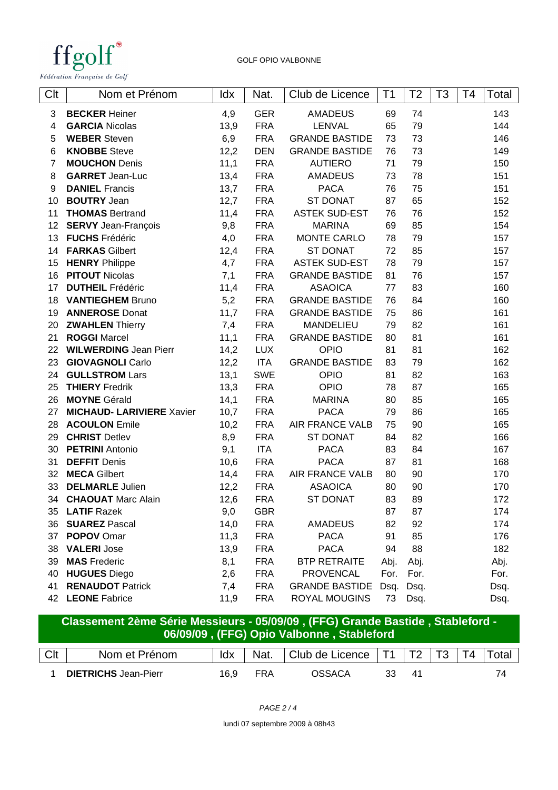

| Clt             | Nom et Prénom                    | ldx  | Nat.       | Club de Licence       | Τ1   | Τ2   | T <sub>3</sub> | T4 | Total |
|-----------------|----------------------------------|------|------------|-----------------------|------|------|----------------|----|-------|
| 3               | <b>BECKER Heiner</b>             | 4,9  | <b>GER</b> | <b>AMADEUS</b>        | 69   | 74   |                |    | 143   |
| 4               | <b>GARCIA Nicolas</b>            | 13,9 | <b>FRA</b> | LENVAL                | 65   | 79   |                |    | 144   |
| 5               | <b>WEBER</b> Steven              | 6,9  | <b>FRA</b> | <b>GRANDE BASTIDE</b> | 73   | 73   |                |    | 146   |
| 6               | <b>KNOBBE</b> Steve              | 12,2 | <b>DEN</b> | <b>GRANDE BASTIDE</b> | 76   | 73   |                |    | 149   |
| $\overline{7}$  | <b>MOUCHON</b> Denis             | 11,1 | <b>FRA</b> | <b>AUTIERO</b>        | 71   | 79   |                |    | 150   |
| 8               | <b>GARRET</b> Jean-Luc           | 13,4 | <b>FRA</b> | <b>AMADEUS</b>        | 73   | 78   |                |    | 151   |
| 9               | <b>DANIEL</b> Francis            | 13,7 | <b>FRA</b> | <b>PACA</b>           | 76   | 75   |                |    | 151   |
| 10              | <b>BOUTRY Jean</b>               | 12,7 | <b>FRA</b> | <b>ST DONAT</b>       | 87   | 65   |                |    | 152   |
| 11              | <b>THOMAS Bertrand</b>           | 11,4 | <b>FRA</b> | <b>ASTEK SUD-EST</b>  | 76   | 76   |                |    | 152   |
| 12 <sub>2</sub> | <b>SERVY</b> Jean-François       | 9,8  | <b>FRA</b> | <b>MARINA</b>         | 69   | 85   |                |    | 154   |
| 13              | <b>FUCHS</b> Frédéric            | 4,0  | <b>FRA</b> | <b>MONTE CARLO</b>    | 78   | 79   |                |    | 157   |
| 14              | <b>FARKAS Gilbert</b>            | 12,4 | <b>FRA</b> | <b>ST DONAT</b>       | 72   | 85   |                |    | 157   |
| 15              | <b>HENRY Philippe</b>            | 4,7  | <b>FRA</b> | <b>ASTEK SUD-EST</b>  | 78   | 79   |                |    | 157   |
| 16              | <b>PITOUT Nicolas</b>            | 7,1  | <b>FRA</b> | <b>GRANDE BASTIDE</b> | 81   | 76   |                |    | 157   |
| 17              | <b>DUTHEIL Frédéric</b>          | 11,4 | <b>FRA</b> | <b>ASAOICA</b>        | 77   | 83   |                |    | 160   |
| 18              | <b>VANTIEGHEM Bruno</b>          | 5,2  | <b>FRA</b> | <b>GRANDE BASTIDE</b> | 76   | 84   |                |    | 160   |
| 19              | <b>ANNEROSE Donat</b>            | 11,7 | <b>FRA</b> | <b>GRANDE BASTIDE</b> | 75   | 86   |                |    | 161   |
| 20              | <b>ZWAHLEN Thierry</b>           | 7,4  | <b>FRA</b> | MANDELIEU             | 79   | 82   |                |    | 161   |
| 21              | <b>ROGGI Marcel</b>              | 11,1 | <b>FRA</b> | <b>GRANDE BASTIDE</b> | 80   | 81   |                |    | 161   |
| 22              | <b>WILWERDING Jean Pierr</b>     | 14,2 | <b>LUX</b> | <b>OPIO</b>           | 81   | 81   |                |    | 162   |
| 23              | <b>GIOVAGNOLI</b> Carlo          | 12,2 | <b>ITA</b> | <b>GRANDE BASTIDE</b> | 83   | 79   |                |    | 162   |
| 24              | <b>GULLSTROM Lars</b>            | 13,1 | <b>SWE</b> | <b>OPIO</b>           | 81   | 82   |                |    | 163   |
| 25              | <b>THIERY Fredrik</b>            | 13,3 | <b>FRA</b> | <b>OPIO</b>           | 78   | 87   |                |    | 165   |
| 26              | <b>MOYNE</b> Gérald              | 14,1 | <b>FRA</b> | <b>MARINA</b>         | 80   | 85   |                |    | 165   |
| 27              | <b>MICHAUD- LARIVIERE Xavier</b> | 10,7 | <b>FRA</b> | <b>PACA</b>           | 79   | 86   |                |    | 165   |
| 28              | <b>ACOULON Emile</b>             | 10,2 | <b>FRA</b> | AIR FRANCE VALB       | 75   | 90   |                |    | 165   |
| 29              | <b>CHRIST Detlev</b>             | 8,9  | <b>FRA</b> | <b>ST DONAT</b>       | 84   | 82   |                |    | 166   |
| 30              | <b>PETRINI</b> Antonio           | 9,1  | <b>ITA</b> | <b>PACA</b>           | 83   | 84   |                |    | 167   |
| 31              | <b>DEFFIT Denis</b>              | 10,6 | <b>FRA</b> | <b>PACA</b>           | 87   | 81   |                |    | 168   |
| 32              | <b>MECA Gilbert</b>              | 14,4 | <b>FRA</b> | AIR FRANCE VALB       | 80   | 90   |                |    | 170   |
| 33              | <b>DELMARLE Julien</b>           | 12,2 | <b>FRA</b> | <b>ASAOICA</b>        | 80   | 90   |                |    | 170   |
| 34              | <b>CHAOUAT</b> Marc Alain        | 12,6 | <b>FRA</b> | <b>ST DONAT</b>       | 83   | 89   |                |    | 172   |
| 35              | <b>LATIF Razek</b>               | 9,0  | <b>GBR</b> |                       | 87   | 87   |                |    | 174   |
| 36              | <b>SUAREZ Pascal</b>             | 14,0 | <b>FRA</b> | <b>AMADEUS</b>        | 82   | 92   |                |    | 174   |
| 37              | <b>POPOV Omar</b>                | 11,3 | <b>FRA</b> | <b>PACA</b>           | 91   | 85   |                |    | 176   |
| 38              | <b>VALERI Jose</b>               | 13,9 | <b>FRA</b> | <b>PACA</b>           | 94   | 88   |                |    | 182   |
| 39              | <b>MAS</b> Frederic              | 8,1  | <b>FRA</b> | <b>BTP RETRAITE</b>   | Abj. | Abj. |                |    | Abj.  |
| 40              | <b>HUGUES Diego</b>              | 2,6  | <b>FRA</b> | <b>PROVENCAL</b>      | For. | For. |                |    | For.  |
| 41              | <b>RENAUDOT Patrick</b>          | 7,4  | <b>FRA</b> | <b>GRANDE BASTIDE</b> | Dsq. | Dsq. |                |    | Dsq.  |
| 42              | <b>LEONE</b> Fabrice             | 11,9 | <b>FRA</b> | ROYAL MOUGINS         | 73   | Dsq. |                |    | Dsq.  |

|     | Classement 2ème Série Messieurs - 05/09/09, (FFG) Grande Bastide, Stableford -<br>06/09/09, (FFG) Opio Valbonne, Stableford |                                                       |            |                                       |    |    |  |  |       |  |  |
|-----|-----------------------------------------------------------------------------------------------------------------------------|-------------------------------------------------------|------------|---------------------------------------|----|----|--|--|-------|--|--|
| Clt | Nom et Prénom                                                                                                               | $\overline{\phantom{a}}$ ldx $\overline{\phantom{a}}$ |            | Nat.   Club de Licence   T1   T2   T3 |    |    |  |  | Total |  |  |
|     | <b>DIETRICHS</b> Jean-Pierr                                                                                                 | 16.9                                                  | <b>FRA</b> | OSSACA                                | 33 | 41 |  |  | 74    |  |  |

lundi 07 septembre 2009 à 08h43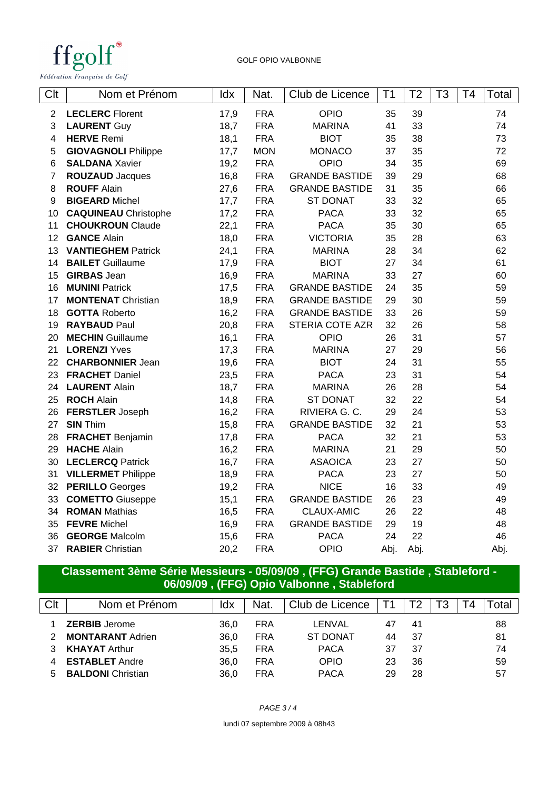

GOLF OPIO VALBONNE

| Clt            | Nom et Prénom               | ldx  | Nat.       | Club de Licence       | T1   | T2   | T3 | T4 | Total |
|----------------|-----------------------------|------|------------|-----------------------|------|------|----|----|-------|
| $\overline{2}$ | <b>LECLERC</b> Florent      | 17,9 | <b>FRA</b> | <b>OPIO</b>           | 35   | 39   |    |    | 74    |
| 3              | <b>LAURENT Guy</b>          | 18,7 | <b>FRA</b> | <b>MARINA</b>         | 41   | 33   |    |    | 74    |
| 4              | <b>HERVE</b> Remi           | 18,1 | <b>FRA</b> | <b>BIOT</b>           | 35   | 38   |    |    | 73    |
| 5              | <b>GIOVAGNOLI Philippe</b>  | 17,7 | <b>MON</b> | <b>MONACO</b>         | 37   | 35   |    |    | 72    |
| $\,6$          | <b>SALDANA Xavier</b>       | 19,2 | <b>FRA</b> | OPIO                  | 34   | 35   |    |    | 69    |
| $\overline{7}$ | <b>ROUZAUD</b> Jacques      | 16,8 | <b>FRA</b> | <b>GRANDE BASTIDE</b> | 39   | 29   |    |    | 68    |
| 8              | <b>ROUFF Alain</b>          | 27,6 | <b>FRA</b> | <b>GRANDE BASTIDE</b> | 31   | 35   |    |    | 66    |
| 9              | <b>BIGEARD Michel</b>       | 17,7 | <b>FRA</b> | <b>ST DONAT</b>       | 33   | 32   |    |    | 65    |
| 10             | <b>CAQUINEAU</b> Christophe | 17,2 | <b>FRA</b> | <b>PACA</b>           | 33   | 32   |    |    | 65    |
| 11             | <b>CHOUKROUN Claude</b>     | 22,1 | <b>FRA</b> | <b>PACA</b>           | 35   | 30   |    |    | 65    |
| 12             | <b>GANCE Alain</b>          | 18,0 | <b>FRA</b> | <b>VICTORIA</b>       | 35   | 28   |    |    | 63    |
| 13             | <b>VANTIEGHEM Patrick</b>   | 24,1 | <b>FRA</b> | <b>MARINA</b>         | 28   | 34   |    |    | 62    |
| 14             | <b>BAILET</b> Guillaume     | 17,9 | <b>FRA</b> | <b>BIOT</b>           | 27   | 34   |    |    | 61    |
| 15             | <b>GIRBAS</b> Jean          | 16,9 | <b>FRA</b> | <b>MARINA</b>         | 33   | 27   |    |    | 60    |
| 16             | <b>MUNINI Patrick</b>       | 17,5 | <b>FRA</b> | <b>GRANDE BASTIDE</b> | 24   | 35   |    |    | 59    |
| 17             | <b>MONTENAT Christian</b>   | 18,9 | <b>FRA</b> | <b>GRANDE BASTIDE</b> | 29   | 30   |    |    | 59    |
| 18             | <b>GOTTA Roberto</b>        | 16,2 | <b>FRA</b> | <b>GRANDE BASTIDE</b> | 33   | 26   |    |    | 59    |
| 19             | <b>RAYBAUD Paul</b>         | 20,8 | <b>FRA</b> | STERIA COTE AZR       | 32   | 26   |    |    | 58    |
| 20             | <b>MECHIN</b> Guillaume     | 16,1 | <b>FRA</b> | <b>OPIO</b>           | 26   | 31   |    |    | 57    |
| 21             | <b>LORENZI Yves</b>         | 17,3 | <b>FRA</b> | <b>MARINA</b>         | 27   | 29   |    |    | 56    |
| 22             | <b>CHARBONNIER Jean</b>     | 19,6 | <b>FRA</b> | <b>BIOT</b>           | 24   | 31   |    |    | 55    |
| 23             | <b>FRACHET Daniel</b>       | 23,5 | <b>FRA</b> | <b>PACA</b>           | 23   | 31   |    |    | 54    |
| 24             | <b>LAURENT Alain</b>        | 18,7 | <b>FRA</b> | <b>MARINA</b>         | 26   | 28   |    |    | 54    |
| 25             | <b>ROCH Alain</b>           | 14,8 | <b>FRA</b> | <b>ST DONAT</b>       | 32   | 22   |    |    | 54    |
| 26             | <b>FERSTLER Joseph</b>      | 16,2 | <b>FRA</b> | RIVIERA G. C.         | 29   | 24   |    |    | 53    |
| 27             | <b>SIN Thim</b>             | 15,8 | <b>FRA</b> | <b>GRANDE BASTIDE</b> | 32   | 21   |    |    | 53    |
| 28             | <b>FRACHET Benjamin</b>     | 17,8 | <b>FRA</b> | <b>PACA</b>           | 32   | 21   |    |    | 53    |
| 29             | <b>HACHE Alain</b>          | 16,2 | <b>FRA</b> | <b>MARINA</b>         | 21   | 29   |    |    | 50    |
| 30             | <b>LECLERCQ Patrick</b>     | 16,7 | <b>FRA</b> | <b>ASAOICA</b>        | 23   | 27   |    |    | 50    |
| 31             | <b>VILLERMET Philippe</b>   | 18,9 | <b>FRA</b> | <b>PACA</b>           | 23   | 27   |    |    | 50    |
| 32             | <b>PERILLO</b> Georges      | 19,2 | <b>FRA</b> | <b>NICE</b>           | 16   | 33   |    |    | 49    |
| 33             | <b>COMETTO</b> Giuseppe     | 15,1 | <b>FRA</b> | <b>GRANDE BASTIDE</b> | 26   | 23   |    |    | 49    |
| 34             | <b>ROMAN Mathias</b>        | 16,5 | <b>FRA</b> | CLAUX-AMIC            | 26   | 22   |    |    | 48    |
| 35             | <b>FEVRE</b> Michel         | 16,9 | <b>FRA</b> | <b>GRANDE BASTIDE</b> | 29   | 19   |    |    | 48    |
| 36             | <b>GEORGE Malcolm</b>       | 15,6 | <b>FRA</b> | <b>PACA</b>           | 24   | 22   |    |    | 46    |
| 37             | <b>RABIER</b> Christian     | 20,2 | <b>FRA</b> | <b>OPIO</b>           | Abj. | Abj. |    |    | Abj.  |

#### **Classement 3ème Série Messieurs - 05/09/09 , (FFG) Grande Bastide , Stableford - 06/09/09 , (FFG) Opio Valbonne , Stableford**

| Clt | Nom et Prénom            | ldx  | Nat.       | Club de Licence |    |     |  | ota |
|-----|--------------------------|------|------------|-----------------|----|-----|--|-----|
|     | <b>ZERBIB</b> Jerome     | 36.0 | <b>FRA</b> | LENVAL          | 47 | 41  |  | 88  |
|     | <b>MONTARANT Adrien</b>  | 36.0 | <b>FRA</b> | <b>ST DONAT</b> | 44 | -37 |  | 81  |
|     | <b>KHAYAT Arthur</b>     | 35.5 | FRA        | <b>PACA</b>     | 37 | -37 |  | 74  |
|     | <b>ESTABLET</b> Andre    | 36.0 | <b>FRA</b> | <b>OPIO</b>     | 23 | 36  |  | 59  |
|     | <b>BALDONI</b> Christian | 36.0 | FRA        | PACA            | 29 | 28  |  | 57  |

PAGE 3 / 4

lundi 07 septembre 2009 à 08h43